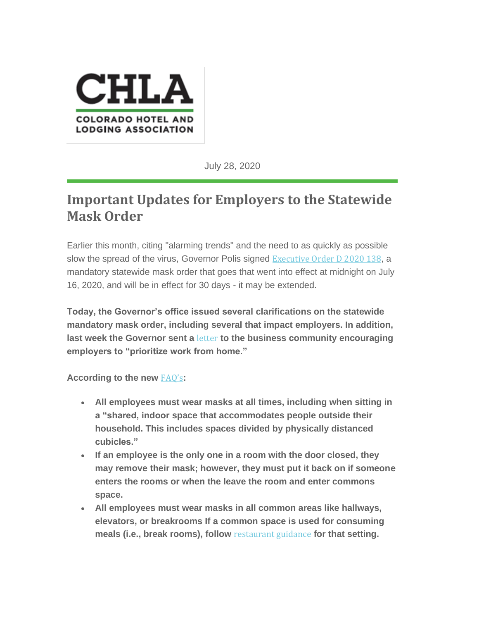

July 28, 2020

## **Important Updates for Employers to the Statewide Mask Order**

Earlier this month, citing "alarming trends" and the need to as quickly as possible slow the spread of the virus, Governor Polis signed [Executive](https://coloradolodging.us10.list-manage.com/track/click?u=754e28d21d71fbac7aeff306b&id=090b84209b&e=7b89fc615c) Order D 2020 138, a mandatory statewide mask order that goes that went into effect at midnight on July 16, 2020, and will be in effect for 30 days - it may be extended.

**Today, the Governor's office issued several clarifications on the statewide mandatory mask order, including several that impact employers. In addition, last week the Governor sent a** [letter](https://coloradolodging.us10.list-manage.com/track/click?u=754e28d21d71fbac7aeff306b&id=a2e65f3edd&e=7b89fc615c) **to the business community encouraging employers to "prioritize work from home."**

**According to the new** [FAQ's](https://coloradolodging.us10.list-manage.com/track/click?u=754e28d21d71fbac7aeff306b&id=5ea06762b4&e=7b89fc615c)**:**

- **All employees must wear masks at all times, including when sitting in a "shared, indoor space that accommodates people outside their household. This includes spaces divided by physically distanced cubicles."**
- **If an employee is the only one in a room with the door closed, they may remove their mask; however, they must put it back on if someone enters the rooms or when the leave the room and enter commons space.**
- **All employees must wear masks in all common areas like hallways, elevators, or breakrooms If a common space is used for consuming meals (i.e., break rooms), follow** [restaurant](https://coloradolodging.us10.list-manage.com/track/click?u=754e28d21d71fbac7aeff306b&id=f9c6467214&e=7b89fc615c) guidance **for that setting.**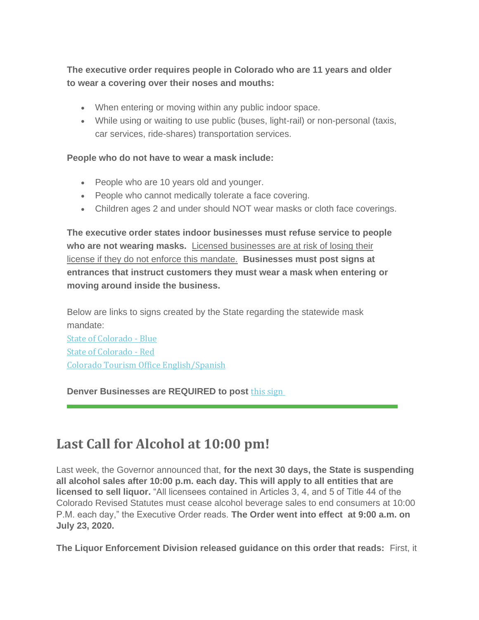**The executive order requires people in Colorado who are 11 years and older to wear a covering over their noses and mouths:**

- When entering or moving within any public indoor space.
- While using or waiting to use public (buses, light-rail) or non-personal (taxis, car services, ride-shares) transportation services.

### **People who do not have to wear a mask include:**

- People who are 10 years old and younger.
- People who cannot medically tolerate a face covering.
- Children ages 2 and under should NOT wear masks or cloth face coverings.

**The executive order states indoor businesses must refuse service to people who are not wearing masks.** Licensed businesses are at risk of losing their license if they do not enforce this mandate. **Businesses must post signs at entrances that instruct customers they must wear a mask when entering or moving around inside the business.**

Below are links to signs created by the State regarding the statewide mask mandate:

State of [Colorado](https://coloradolodging.us10.list-manage.com/track/click?u=754e28d21d71fbac7aeff306b&id=0087f95de4&e=7b89fc615c) - Blue State of [Colorado](https://coloradolodging.us10.list-manage.com/track/click?u=754e28d21d71fbac7aeff306b&id=d4d2d6b83b&e=7b89fc615c) - Red Colorado Tourism Office [English/Spanish](https://coloradolodging.us10.list-manage.com/track/click?u=754e28d21d71fbac7aeff306b&id=f1b5c0fd94&e=7b89fc615c)

## **Denver Businesses are REQUIRED to post this [sign](https://coloradolodging.us10.list-manage.com/track/click?u=754e28d21d71fbac7aeff306b&id=4a593e5e59&e=7b89fc615c)**

# **Last Call for Alcohol at 10:00 pm!**

Last week, the Governor announced that, **for the next 30 days, the State is suspending all alcohol sales after 10:00 p.m. each day. This will apply to all entities that are licensed to sell liquor.** "All licensees contained in Articles 3, 4, and 5 of Title 44 of the Colorado Revised Statutes must cease alcohol beverage sales to end consumers at 10:00 P.M. each day," the Executive Order reads. **The Order went into effect at 9:00 a.m. on July 23, 2020.**

**The Liquor Enforcement Division released guidance on this order that reads:** First, it